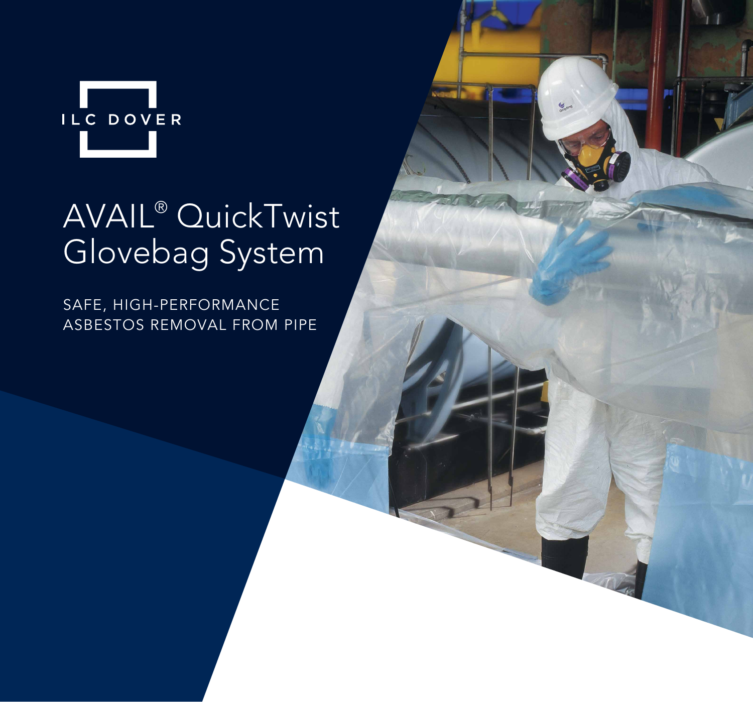

# AVAIL® QuickTwist Glovebag System

SAFE, HIGH-PERFORMANCE ASBESTOS REMOVAL FROM PIPE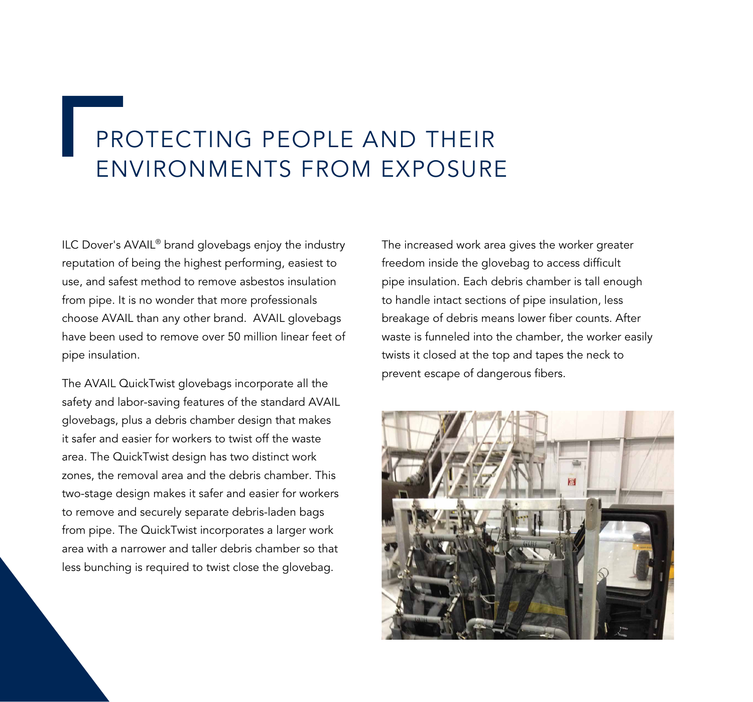### PROTECTING PEOPLE AND THEIR ENVIRONMENTS FROM EXPOSURE

ILC Dover's AVAIL® brand glovebags enjoy the industry reputation of being the highest performing, easiest to use, and safest method to remove asbestos insulation from pipe. It is no wonder that more professionals choose AVAIL than any other brand. AVAIL glovebags have been used to remove over 50 million linear feet of pipe insulation.

The AVAIL QuickTwist glovebags incorporate all the safety and labor-saving features of the standard AVAIL glovebags, plus a debris chamber design that makes it safer and easier for workers to twist off the waste area. The QuickTwist design has two distinct work zones, the removal area and the debris chamber. This two-stage design makes it safer and easier for workers to remove and securely separate debris-laden bags from pipe. The QuickTwist incorporates a larger work area with a narrower and taller debris chamber so that less bunching is required to twist close the glovebag.

The increased work area gives the worker greater freedom inside the glovebag to access difficult pipe insulation. Each debris chamber is tall enough to handle intact sections of pipe insulation, less breakage of debris means lower fiber counts. After waste is funneled into the chamber, the worker easily twists it closed at the top and tapes the neck to prevent escape of dangerous fibers.

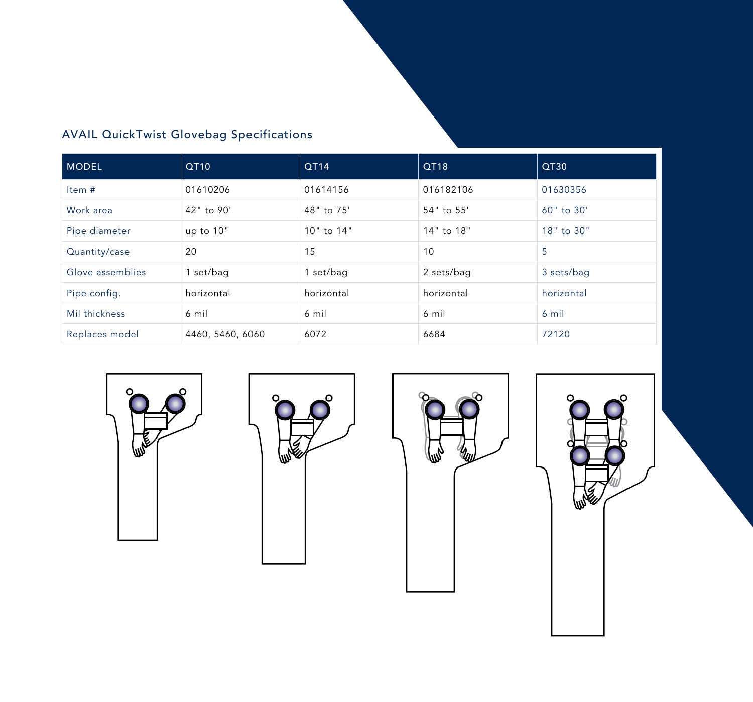### *per case* 20 15 10 5 AVAIL QuickTwist Glovebag Specifications

| <b>MODEL</b>     | QT <sub>10</sub> | <b>QT14</b> | QT <sub>18</sub> | QT <sub>30</sub> |
|------------------|------------------|-------------|------------------|------------------|
| Item $#$         | 01610206         | 01614156    | 016182106        | 01630356         |
| Work area        | 42" to 90'       | 48" to 75'  | 54" to 55'       | 60" to 30'       |
| Pipe diameter    | up to 10"        | 10" to 14"  | 14" to 18"       | 18" to 30"       |
| Quantity/case    | 20               | 15          | 10               | 5                |
| Glove assemblies | 1 set/bag        | 1 set/bag   | 2 sets/bag       | 3 sets/bag       |
| Pipe config.     | horizontal       | horizontal  | horizontal       | horizontal       |
| Mil thickness    | 6 mil            | 6 mil       | 6 mil            | 6 mil            |
| Replaces model   | 4460, 5460, 6060 | 6072        | 6684             | 72120            |





*area*42" to 90' 48" to 75' 54" to 55' 60" to 30'

*diameter* up to 10 inch 10 to 14 inch 14 to 18 inch 18 to 30 inch



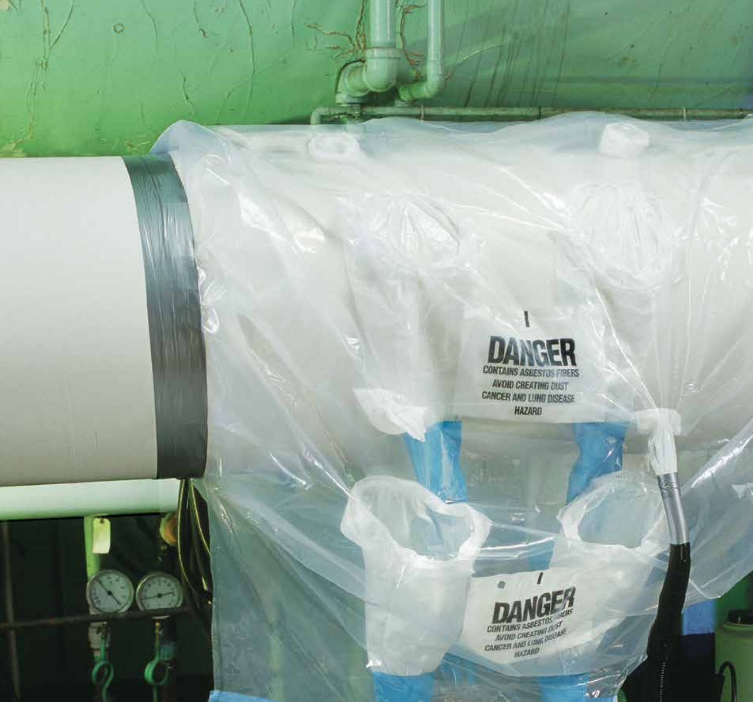

N

 $\ddot{\circ}$ 



 $\sigma$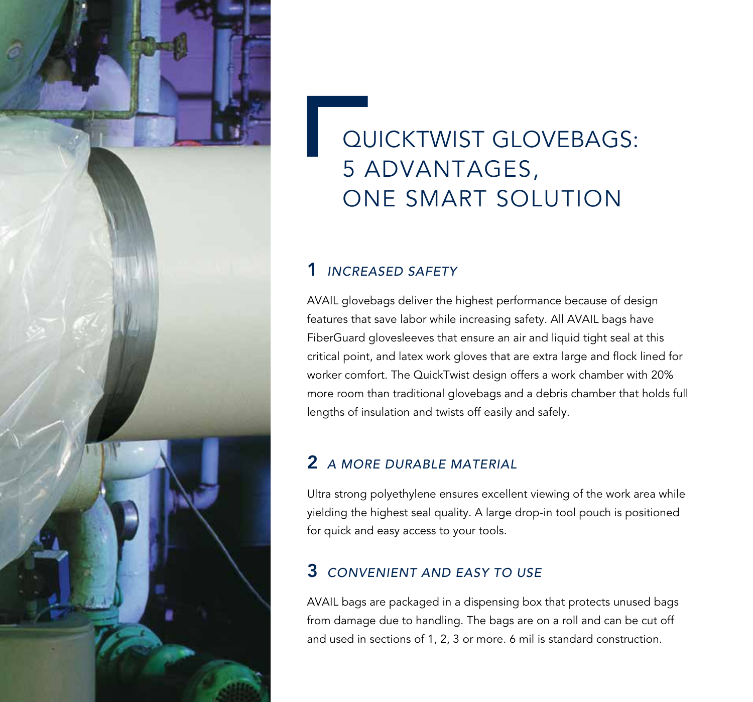

## QUICKTWIST GLOVEBAGS: 5 ADVANTAGES, ONE SMART SOLUTION

#### 1 *INCREASED SAFETY*

AVAIL glovebags deliver the highest performance because of design features that save labor while increasing safety. All AVAIL bags have FiberGuard glovesleeves that ensure an air and liquid tight seal at this critical point, and latex work gloves that are extra large and flock lined for worker comfort. The QuickTwist design offers a work chamber with 20% more room than traditional glovebags and a debris chamber that holds full lengths of insulation and twists off easily and safely.

#### 2 *A MORE DURABLE MATERIAL*

Ultra strong polyethylene ensures excellent viewing of the work area while yielding the highest seal quality. A large drop-in tool pouch is positioned for quick and easy access to your tools.

#### 3 *CONVENIENT AND EASY TO USE*

AVAIL bags are packaged in a dispensing box that protects unused bags from damage due to handling. The bags are on a roll and can be cut off and used in sections of 1, 2, 3 or more. 6 mil is standard construction.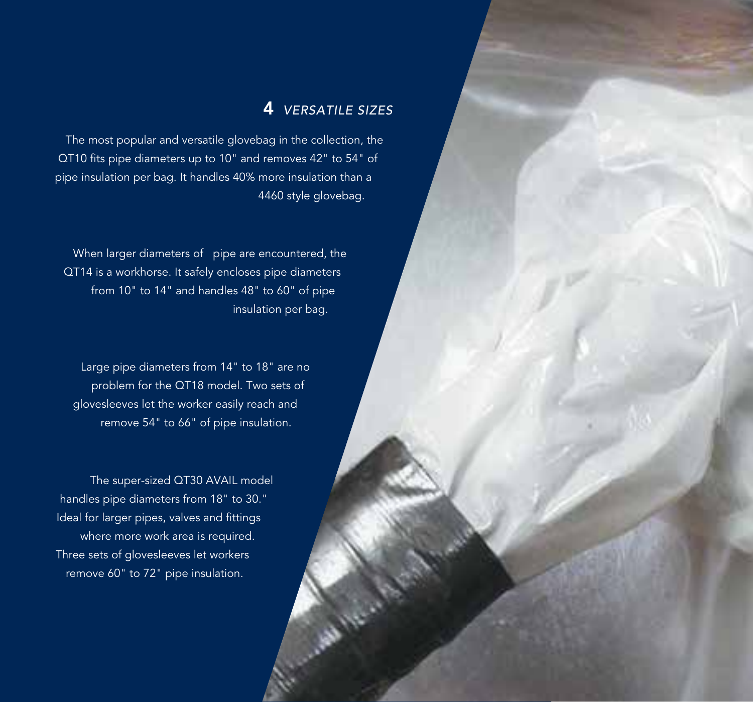#### 4 *VERSATILE SIZES*

The most popular and versatile glovebag in the collection, the QT10 fits pipe diameters up to 10" and removes 42" to 54" of pipe insulation per bag. It handles 40% more insulation than a 4460 style glovebag.

When larger diameters of pipe are encountered, the QT14 is a workhorse. It safely encloses pipe diameters from 10" to 14" and handles 48" to 60" of pipe insulation per bag.

Large pipe diameters from 14" to 18" are no problem for the QT18 model. Two sets of glovesleeves let the worker easily reach and remove 54" to 66" of pipe insulation.

The super-sized QT30 AVAIL model handles pipe diameters from 18" to 30." Ideal for larger pipes, valves and fittings where more work area is required. Three sets of glovesleeves let workers remove 60" to 72" pipe insulation.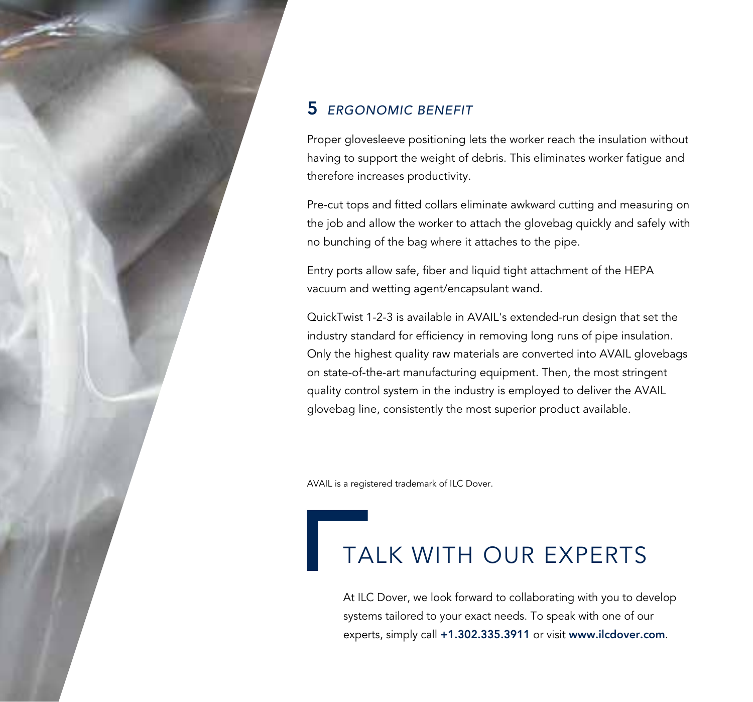

#### 5 *ERGONOMIC BENEFIT*

Proper glovesleeve positioning lets the worker reach the insulation without having to support the weight of debris. This eliminates worker fatigue and therefore increases productivity.

Pre-cut tops and fitted collars eliminate awkward cutting and measuring on the job and allow the worker to attach the glovebag quickly and safely with no bunching of the bag where it attaches to the pipe.

Entry ports allow safe, fiber and liquid tight attachment of the HEPA vacuum and wetting agent/encapsulant wand.

QuickTwist 1-2-3 is available in AVAIL's extended-run design that set the industry standard for efficiency in removing long runs of pipe insulation. Only the highest quality raw materials are converted into AVAIL glovebags on state-of-the-art manufacturing equipment. Then, the most stringent quality control system in the industry is employed to deliver the AVAIL glovebag line, consistently the most superior product available.

AVAIL is a registered trademark of ILC Dover.

### TALK WITH OUR EXPERTS

At ILC Dover, we look forward to collaborating with you to develop systems tailored to your exact needs. To speak with one of our experts, simply call +1.302.335.3911 or visit www.ilcdover.com.